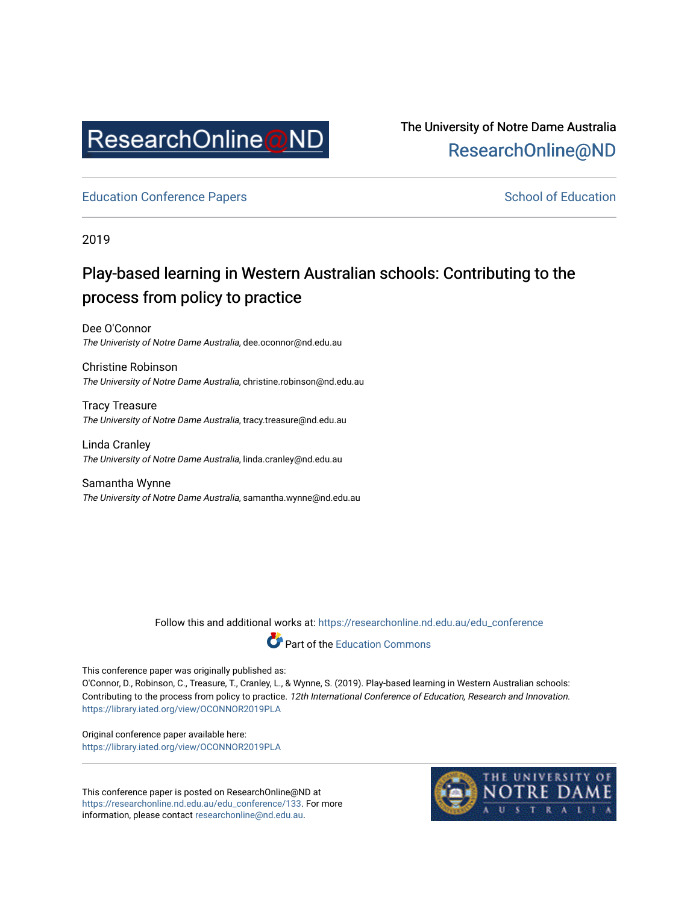

The University of Notre Dame Australia [ResearchOnline@ND](https://researchonline.nd.edu.au/) 

[Education Conference Papers](https://researchonline.nd.edu.au/edu_conference) **School of Education** School of Education

2019

# Play-based learning in Western Australian schools: Contributing to the process from policy to practice

Dee O'Connor The Univeristy of Notre Dame Australia, dee.oconnor@nd.edu.au

Christine Robinson The University of Notre Dame Australia, christine.robinson@nd.edu.au

Tracy Treasure The University of Notre Dame Australia, tracy.treasure@nd.edu.au

Linda Cranley The University of Notre Dame Australia, linda.cranley@nd.edu.au

Samantha Wynne The University of Notre Dame Australia, samantha.wynne@nd.edu.au

Follow this and additional works at: [https://researchonline.nd.edu.au/edu\\_conference](https://researchonline.nd.edu.au/edu_conference?utm_source=researchonline.nd.edu.au%2Fedu_conference%2F133&utm_medium=PDF&utm_campaign=PDFCoverPages)



This conference paper was originally published as:

O'Connor, D., Robinson, C., Treasure, T., Cranley, L., & Wynne, S. (2019). Play-based learning in Western Australian schools: Contributing to the process from policy to practice. 12th International Conference of Education, Research and Innovation. <https://library.iated.org/view/OCONNOR2019PLA>

Original conference paper available here: <https://library.iated.org/view/OCONNOR2019PLA>

This conference paper is posted on ResearchOnline@ND at [https://researchonline.nd.edu.au/edu\\_conference/133](https://researchonline.nd.edu.au/edu_conference/133). For more information, please contact [researchonline@nd.edu.au.](mailto:researchonline@nd.edu.au)

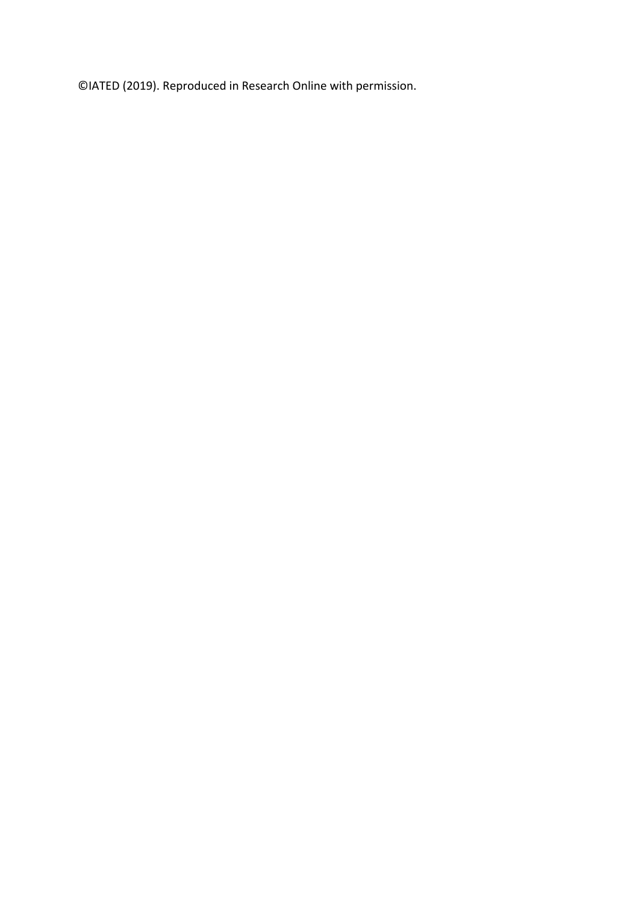©IATED (2019). Reproduced in Research Online with permission.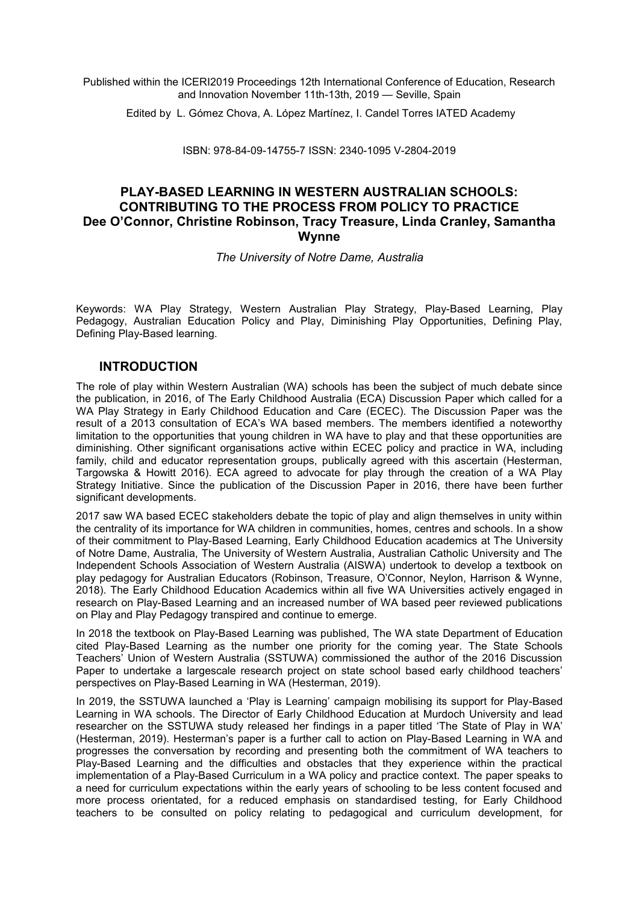Published within the ICERI2019 Proceedings 12th International Conference of Education, Research and Innovation November 11th-13th, 2019 — Seville, Spain

Edited by L. Gómez Chova, A. López Martínez, I. Candel Torres IATED Academy

ISBN: 978-84-09-14755-7 ISSN: 2340-1095 V-2804-2019

### **PLAY-BASED LEARNING IN WESTERN AUSTRALIAN SCHOOLS: CONTRIBUTING TO THE PROCESS FROM POLICY TO PRACTICE Dee O'Connor, Christine Robinson, Tracy Treasure, Linda Cranley, Samantha Wynne**

*The University of Notre Dame, Australia*

Keywords: WA Play Strategy, Western Australian Play Strategy, Play-Based Learning, Play Pedagogy, Australian Education Policy and Play, Diminishing Play Opportunities, Defining Play, Defining Play-Based learning.

#### **INTRODUCTION**

The role of play within Western Australian (WA) schools has been the subject of much debate since the publication, in 2016, of The Early Childhood Australia (ECA) Discussion Paper which called for a WA Play Strategy in Early Childhood Education and Care (ECEC). The Discussion Paper was the result of a 2013 consultation of ECA's WA based members. The members identified a noteworthy limitation to the opportunities that young children in WA have to play and that these opportunities are diminishing. Other significant organisations active within ECEC policy and practice in WA, including family, child and educator representation groups, publically agreed with this ascertain (Hesterman, Targowska & Howitt 2016). ECA agreed to advocate for play through the creation of a WA Play Strategy Initiative. Since the publication of the Discussion Paper in 2016, there have been further significant developments.

2017 saw WA based ECEC stakeholders debate the topic of play and align themselves in unity within the centrality of its importance for WA children in communities, homes, centres and schools. In a show of their commitment to Play-Based Learning, Early Childhood Education academics at The University of Notre Dame, Australia, The University of Western Australia, Australian Catholic University and The Independent Schools Association of Western Australia (AISWA) undertook to develop a textbook on play pedagogy for Australian Educators (Robinson, Treasure, O'Connor, Neylon, Harrison & Wynne, 2018). The Early Childhood Education Academics within all five WA Universities actively engaged in research on Play-Based Learning and an increased number of WA based peer reviewed publications on Play and Play Pedagogy transpired and continue to emerge.

In 2018 the textbook on Play-Based Learning was published, The WA state Department of Education cited Play-Based Learning as the number one priority for the coming year. The State Schools Teachers' Union of Western Australia (SSTUWA) commissioned the author of the 2016 Discussion Paper to undertake a largescale research project on state school based early childhood teachers' perspectives on Play-Based Learning in WA (Hesterman, 2019).

In 2019, the SSTUWA launched a 'Play is Learning' campaign mobilising its support for Play-Based Learning in WA schools. The Director of Early Childhood Education at Murdoch University and lead researcher on the SSTUWA study released her findings in a paper titled 'The State of Play in WA' (Hesterman, 2019). Hesterman's paper is a further call to action on Play-Based Learning in WA and progresses the conversation by recording and presenting both the commitment of WA teachers to Play-Based Learning and the difficulties and obstacles that they experience within the practical implementation of a Play-Based Curriculum in a WA policy and practice context. The paper speaks to a need for curriculum expectations within the early years of schooling to be less content focused and more process orientated, for a reduced emphasis on standardised testing, for Early Childhood teachers to be consulted on policy relating to pedagogical and curriculum development, for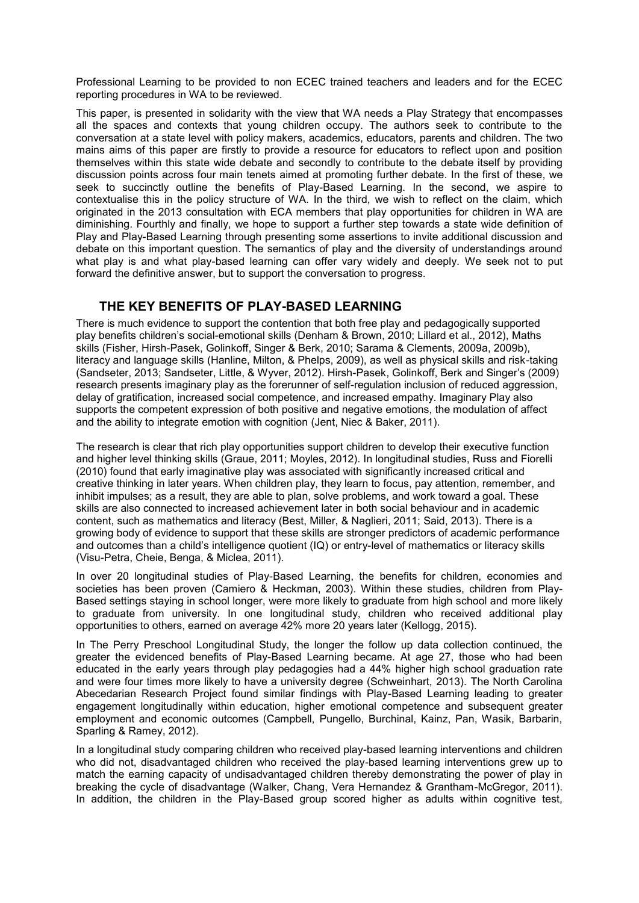Professional Learning to be provided to non ECEC trained teachers and leaders and for the ECEC reporting procedures in WA to be reviewed.

This paper, is presented in solidarity with the view that WA needs a Play Strategy that encompasses all the spaces and contexts that young children occupy. The authors seek to contribute to the conversation at a state level with policy makers, academics, educators, parents and children. The two mains aims of this paper are firstly to provide a resource for educators to reflect upon and position themselves within this state wide debate and secondly to contribute to the debate itself by providing discussion points across four main tenets aimed at promoting further debate. In the first of these, we seek to succinctly outline the benefits of Play-Based Learning. In the second, we aspire to contextualise this in the policy structure of WA. In the third, we wish to reflect on the claim, which originated in the 2013 consultation with ECA members that play opportunities for children in WA are diminishing. Fourthly and finally, we hope to support a further step towards a state wide definition of Play and Play-Based Learning through presenting some assertions to invite additional discussion and debate on this important question. The semantics of play and the diversity of understandings around what play is and what play-based learning can offer vary widely and deeply. We seek not to put forward the definitive answer, but to support the conversation to progress.

# **THE KEY BENEFITS OF PLAY-BASED LEARNING**

There is much evidence to support the contention that both free play and pedagogically supported play benefits children's social-emotional skills (Denham & Brown, 2010; Lillard et al., 2012), Maths skills (Fisher, Hirsh-Pasek, Golinkoff, Singer & Berk, 2010; Sarama & Clements, 2009a, 2009b), literacy and language skills (Hanline, Milton, & Phelps, 2009), as well as physical skills and risk-taking (Sandseter, 2013; Sandseter, Little, & Wyver, 2012). Hirsh-Pasek, Golinkoff, Berk and Singer's (2009) research presents imaginary play as the forerunner of self-regulation inclusion of reduced aggression, delay of gratification, increased social competence, and increased empathy. Imaginary Play also supports the competent expression of both positive and negative emotions, the modulation of affect and the ability to integrate emotion with cognition (Jent, Niec & Baker, 2011).

The research is clear that rich play opportunities support children to develop their executive function and higher level thinking skills (Graue, 2011; Moyles, 2012). In longitudinal studies, Russ and Fiorelli (2010) found that early imaginative play was associated with significantly increased critical and creative thinking in later years. When children play, they learn to focus, pay attention, remember, and inhibit impulses; as a result, they are able to plan, solve problems, and work toward a goal. These skills are also connected to increased achievement later in both social behaviour and in academic content, such as mathematics and literacy (Best, Miller, & Naglieri, 2011; Said, 2013). There is a growing body of evidence to support that these skills are stronger predictors of academic performance and outcomes than a child's intelligence quotient (IQ) or entry-level of mathematics or literacy skills (Visu-Petra, Cheie, Benga, & Miclea, 2011).

In over 20 longitudinal studies of Play-Based Learning, the benefits for children, economies and societies has been proven (Camiero & Heckman, 2003). Within these studies, children from Play-Based settings staying in school longer, were more likely to graduate from high school and more likely to graduate from university. In one longitudinal study, children who received additional play opportunities to others, earned on average 42% more 20 years later (Kellogg, 2015).

In The Perry Preschool Longitudinal Study, the longer the follow up data collection continued, the greater the evidenced benefits of Play-Based Learning became. At age 27, those who had been educated in the early years through play pedagogies had a 44% higher high school graduation rate and were four times more likely to have a university degree (Schweinhart, 2013). The North Carolina Abecedarian Research Project found similar findings with Play-Based Learning leading to greater engagement longitudinally within education, higher emotional competence and subsequent greater employment and economic outcomes (Campbell, Pungello, Burchinal, Kainz, Pan, Wasik, Barbarin, Sparling & Ramey, 2012).

In a longitudinal study comparing children who received play-based learning interventions and children who did not, disadvantaged children who received the play-based learning interventions grew up to match the earning capacity of undisadvantaged children thereby demonstrating the power of play in breaking the cycle of disadvantage (Walker, Chang, Vera Hernandez & Grantham-McGregor, 2011). In addition, the children in the Play-Based group scored higher as adults within cognitive test,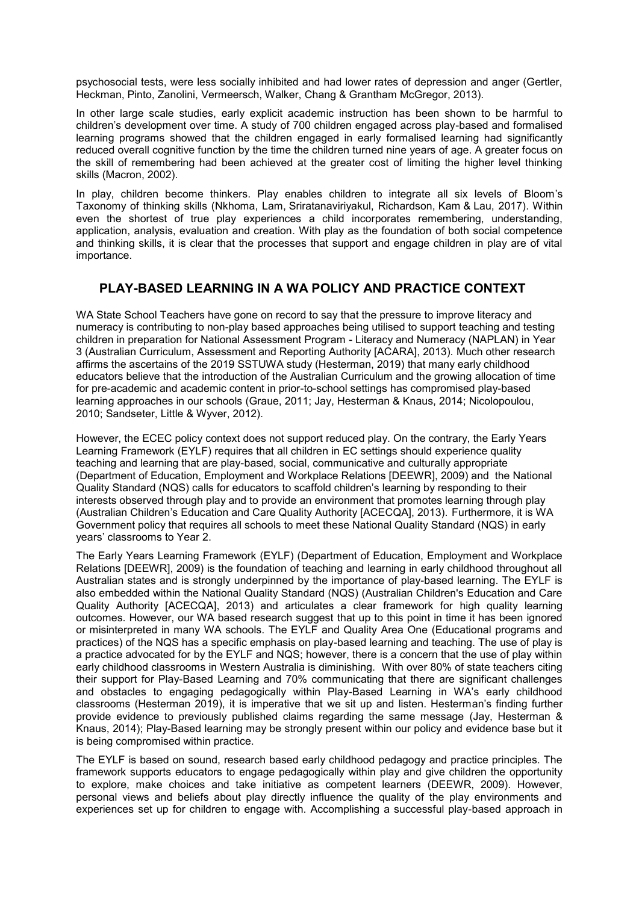psychosocial tests, were less socially inhibited and had lower rates of depression and anger (Gertler, Heckman, Pinto, Zanolini, Vermeersch, Walker, Chang & Grantham McGregor, 2013).

In other large scale studies, early explicit academic instruction has been shown to be harmful to children's development over time. A study of 700 children engaged across play-based and formalised learning programs showed that the children engaged in early formalised learning had significantly reduced overall cognitive function by the time the children turned nine years of age. A greater focus on the skill of remembering had been achieved at the greater cost of limiting the higher level thinking skills (Macron, 2002).

In play, children become thinkers. Play enables children to integrate all six levels of Bloom's Taxonomy of thinking skills [\(Nkhoma, Lam,](https://www.emerald.com/insight/search?q=Mathews%20Zanda%20Nkhoma) [Sriratanaviriyakul,](https://www.emerald.com/insight/search?q=Narumon%20Sriratanaviriyakul) [Richardson,](https://www.emerald.com/insight/search?q=Joan%20Richardson) [Kam](https://www.emerald.com/insight/search?q=Booi%20Kam) & Lau, 2017[\).](https://www.emerald.com/insight/search?q=Kwok%20Hung%20Lau) Within even the shortest of true play experiences a child incorporates remembering, understanding, application, analysis, evaluation and creation. With play as the foundation of both social competence and thinking skills, it is clear that the processes that support and engage children in play are of vital importance.

# **PLAY-BASED LEARNING IN A WA POLICY AND PRACTICE CONTEXT**

WA State School Teachers have gone on record to say that the pressure to improve literacy and numeracy is contributing to non-play based approaches being utilised to support teaching and testing children in preparation for National Assessment Program - Literacy and Numeracy (NAPLAN) in Year 3 (Australian Curriculum, Assessment and Reporting Authority [ACARA], 2013). Much other research affirms the ascertains of the 2019 SSTUWA study (Hesterman, 2019) that many early childhood educators believe that the introduction of the Australian Curriculum and the growing allocation of time for pre-academic and academic content in prior-to-school settings has compromised play-based learning approaches in our schools (Graue, 2011; Jay, Hesterman & Knaus, 2014; Nicolopoulou, 2010; Sandseter, Little & Wyver, 2012).

However, the ECEC policy context does not support reduced play. On the contrary, the Early Years Learning Framework (EYLF) requires that all children in EC settings should experience quality teaching and learning that are play-based, social, communicative and culturally appropriate (Department of Education, Employment and Workplace Relations [DEEWR], 2009) and the National Quality Standard (NQS) calls for educators to scaffold children's learning by responding to their interests observed through play and to provide an environment that promotes learning through play (Australian Children's Education and Care Quality Authority [ACECQA], 2013). Furthermore, it is WA Government policy that requires all schools to meet these National Quality Standard (NQS) in early years' classrooms to Year 2.

The Early Years Learning Framework (EYLF) (Department of Education, Employment and Workplace Relations [DEEWR], 2009) is the foundation of teaching and learning in early childhood throughout all Australian states and is strongly underpinned by the importance of play-based learning. The EYLF is also embedded within the National Quality Standard (NQS) (Australian Children's Education and Care Quality Authority [ACECQA], 2013) and articulates a clear framework for high quality learning outcomes. However, our WA based research suggest that up to this point in time it has been ignored or misinterpreted in many WA schools. The EYLF and Quality Area One (Educational programs and practices) of the NQS has a specific emphasis on play-based learning and teaching. The use of play is a practice advocated for by the EYLF and NQS; however, there is a concern that the use of play within early childhood classrooms in Western Australia is diminishing. With over 80% of state teachers citing their support for Play-Based Learning and 70% communicating that there are significant challenges and obstacles to engaging pedagogically within Play-Based Learning in WA's early childhood classrooms (Hesterman 2019), it is imperative that we sit up and listen. Hesterman's finding further provide evidence to previously published claims regarding the same message (Jay, Hesterman & Knaus, 2014); Play-Based learning may be strongly present within our policy and evidence base but it is being compromised within practice.

The EYLF is based on sound, research based early childhood pedagogy and practice principles. The framework supports educators to engage pedagogically within play and give children the opportunity to explore, make choices and take initiative as competent learners (DEEWR, 2009). However, personal views and beliefs about play directly influence the quality of the play environments and experiences set up for children to engage with. Accomplishing a successful play-based approach in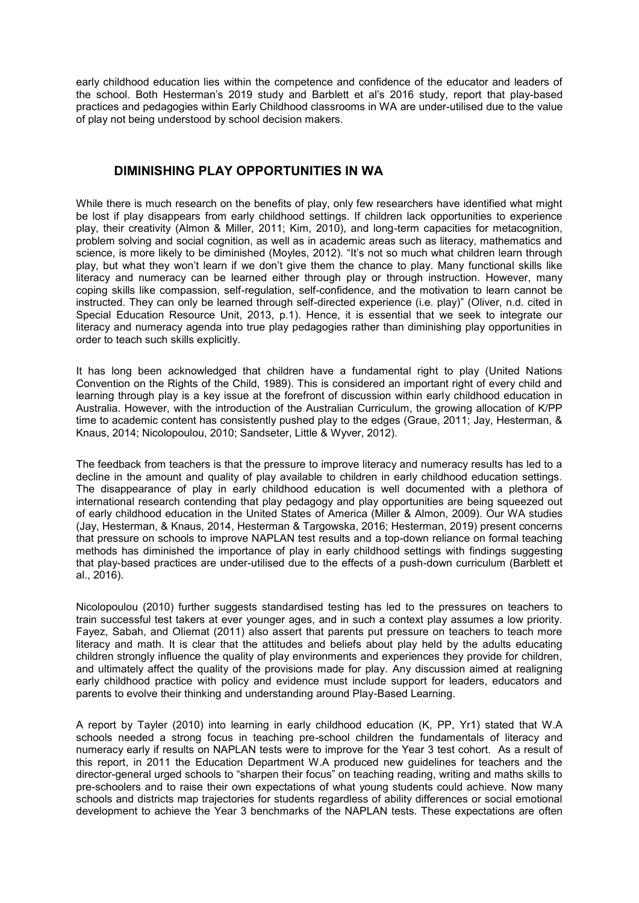early childhood education lies within the competence and confidence of the educator and leaders of the school. Both Hesterman's 2019 study and Barblett et al's 2016 study, report that play-based practices and pedagogies within Early Childhood classrooms in WA are under-utilised due to the value of play not being understood by school decision makers.

#### **DIMINISHING PLAY OPPORTUNITIES IN WA**

While there is much research on the benefits of play, only few researchers have identified what might be lost if play disappears from early childhood settings. If children lack opportunities to experience play, their creativity (Almon & Miller, 2011; Kim, 2010), and long-term capacities for metacognition, problem solving and social cognition, as well as in academic areas such as literacy, mathematics and science, is more likely to be diminished (Moyles, 2012). "It's not so much what children learn through play, but what they won't learn if we don't give them the chance to play. Many functional skills like literacy and numeracy can be learned either through play or through instruction. However, many coping skills like compassion, self-regulation, self-confidence, and the motivation to learn cannot be instructed. They can only be learned through self-directed experience (i.e. play)" (Oliver, n.d. cited in Special Education Resource Unit, 2013, p.1). Hence, it is essential that we seek to integrate our literacy and numeracy agenda into true play pedagogies rather than diminishing play opportunities in order to teach such skills explicitly.

It has long been acknowledged that children have a fundamental right to play (United Nations Convention on the Rights of the Child, 1989). This is considered an important right of every child and learning through play is a key issue at the forefront of discussion within early childhood education in Australia. However, with the introduction of the Australian Curriculum, the growing allocation of K/PP time to academic content has consistently pushed play to the edges (Graue, 2011; Jay, Hesterman, & Knaus, 2014; Nicolopoulou, 2010; Sandseter, Little & Wyver, 2012).

The feedback from teachers is that the pressure to improve literacy and numeracy results has led to a decline in the amount and quality of play available to children in early childhood education settings. The disappearance of play in early childhood education is well documented with a plethora of international research contending that play pedagogy and play opportunities are being squeezed out of early childhood education in the United States of America (Miller & Almon, 2009). Our WA studies (Jay, Hesterman, & Knaus, 2014, Hesterman & Targowska, 2016; Hesterman, 2019) present concerns that pressure on schools to improve NAPLAN test results and a top-down reliance on formal teaching methods has diminished the importance of play in early childhood settings with findings suggesting that play-based practices are under-utilised due to the effects of a push-down curriculum (Barblett et al., 2016).

Nicolopoulou (2010) further suggests standardised testing has led to the pressures on teachers to train successful test takers at ever younger ages, and in such a context play assumes a low priority. Fayez, Sabah, and Oliemat (2011) also assert that parents put pressure on teachers to teach more literacy and math. It is clear that the attitudes and beliefs about play held by the adults educating children strongly influence the quality of play environments and experiences they provide for children, and ultimately affect the quality of the provisions made for play. Any discussion aimed at realigning early childhood practice with policy and evidence must include support for leaders, educators and parents to evolve their thinking and understanding around Play-Based Learning.

A report by Tayler (2010) into learning in early childhood education (K, PP, Yr1) stated that W.A schools needed a strong focus in teaching pre-school children the fundamentals of literacy and numeracy early if results on NAPLAN tests were to improve for the Year 3 test cohort. As a result of this report, in 2011 the Education Department W.A produced new guidelines for teachers and the director-general urged schools to "sharpen their focus" on teaching reading, writing and maths skills to pre-schoolers and to raise their own expectations of what young students could achieve. Now many schools and districts map trajectories for students regardless of ability differences or social emotional development to achieve the Year 3 benchmarks of the NAPLAN tests. These expectations are often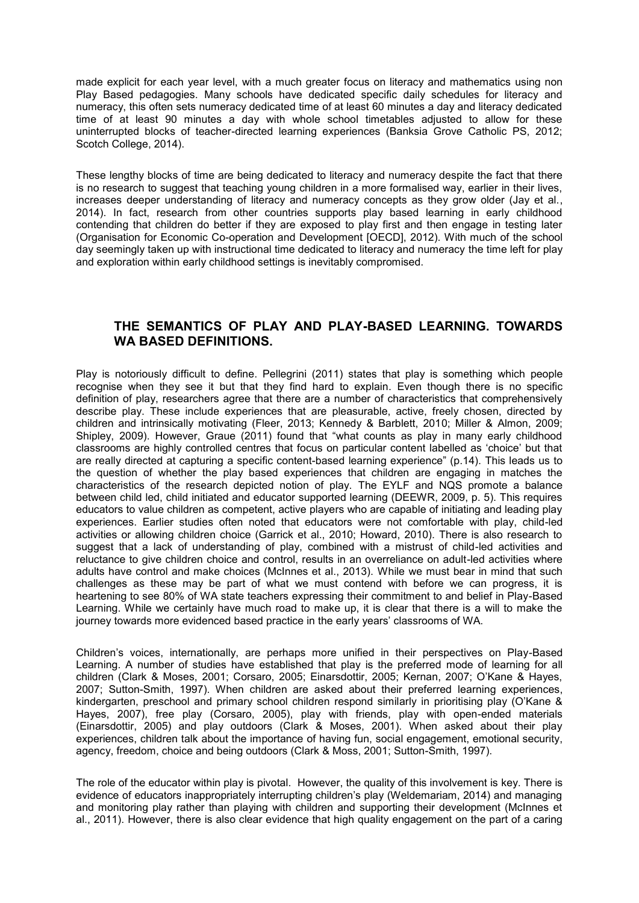made explicit for each year level, with a much greater focus on literacy and mathematics using non Play Based pedagogies. Many schools have dedicated specific daily schedules for literacy and numeracy, this often sets numeracy dedicated time of at least 60 minutes a day and literacy dedicated time of at least 90 minutes a day with whole school timetables adjusted to allow for these uninterrupted blocks of teacher-directed learning experiences (Banksia Grove Catholic PS, 2012; Scotch College, 2014).

These lengthy blocks of time are being dedicated to literacy and numeracy despite the fact that there is no research to suggest that teaching young children in a more formalised way, earlier in their lives, increases deeper understanding of literacy and numeracy concepts as they grow older (Jay et al., 2014). In fact, research from other countries supports play based learning in early childhood contending that children do better if they are exposed to play first and then engage in testing later (Organisation for Economic Co-operation and Development [OECD], 2012). With much of the school day seemingly taken up with instructional time dedicated to literacy and numeracy the time left for play and exploration within early childhood settings is inevitably compromised.

# **THE SEMANTICS OF PLAY AND PLAY-BASED LEARNING. TOWARDS WA BASED DEFINITIONS.**

Play is notoriously difficult to define. Pellegrini (2011) states that play is something which people recognise when they see it but that they find hard to explain. Even though there is no specific definition of play, researchers agree that there are a number of characteristics that comprehensively describe play. These include experiences that are pleasurable, active, freely chosen, directed by children and intrinsically motivating (Fleer, 2013; Kennedy & Barblett, 2010; Miller & Almon, 2009; Shipley, 2009). However, Graue (2011) found that "what counts as play in many early childhood classrooms are highly controlled centres that focus on particular content labelled as 'choice' but that are really directed at capturing a specific content-based learning experience" (p.14). This leads us to the question of whether the play based experiences that children are engaging in matches the characteristics of the research depicted notion of play. The EYLF and NQS promote a balance between child led, child initiated and educator supported learning (DEEWR, 2009, p. 5). This requires educators to value children as competent, active players who are capable of initiating and leading play experiences. Earlier studies often noted that educators were not comfortable with play, child-led activities or allowing children choice (Garrick et al., 2010; Howard, 2010). There is also research to suggest that a lack of understanding of play, combined with a mistrust of child-led activities and reluctance to give children choice and control, results in an overreliance on adult-led activities where adults have control and make choices (McInnes et al., 2013). While we must bear in mind that such challenges as these may be part of what we must contend with before we can progress, it is heartening to see 80% of WA state teachers expressing their commitment to and belief in Play-Based Learning. While we certainly have much road to make up, it is clear that there is a will to make the journey towards more evidenced based practice in the early years' classrooms of WA.

Children's voices, internationally, are perhaps more unified in their perspectives on Play-Based Learning. A number of studies have established that play is the preferred mode of learning for all children (Clark & Moses, 2001; Corsaro, 2005; Einarsdottir, 2005; Kernan, 2007; O'Kane & Hayes, 2007; Sutton-Smith, 1997). When children are asked about their preferred learning experiences, kindergarten, preschool and primary school children respond similarly in prioritising play (O'Kane & Hayes, 2007), free play (Corsaro, 2005), play with friends, play with open-ended materials (Einarsdottir, 2005) and play outdoors (Clark & Moses, 2001). When asked about their play experiences, children talk about the importance of having fun, social engagement, emotional security, agency, freedom, choice and being outdoors (Clark & Moss, 2001; Sutton-Smith, 1997).

The role of the educator within play is pivotal. However, the quality of this involvement is key. There is evidence of educators inappropriately interrupting children's play (Weldemariam, 2014) and managing and monitoring play rather than playing with children and supporting their development (McInnes et al., 2011). However, there is also clear evidence that high quality engagement on the part of a caring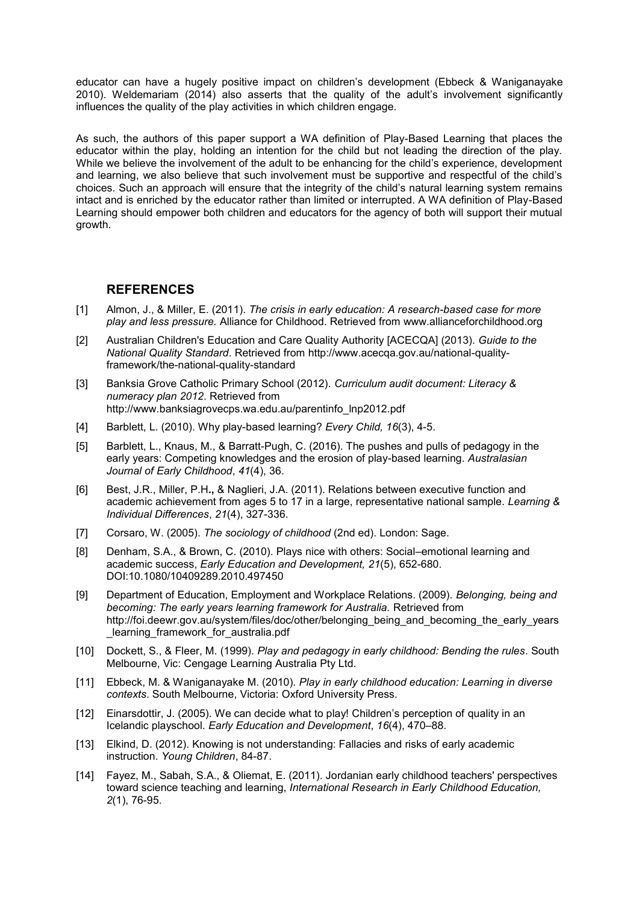educator can have a hugely positive impact on children's development (Ebbeck & Waniganayake 2010). Weldemariam (2014) also asserts that the quality of the adult's involvement significantly influences the quality of the play activities in which children engage.

As such, the authors of this paper support a WA definition of Play-Based Learning that places the educator within the play, holding an intention for the child but not leading the direction of the play. While we believe the involvement of the adult to be enhancing for the child's experience, development and learning, we also believe that such involvement must be supportive and respectful of the child's choices. Such an approach will ensure that the integrity of the child's natural learning system remains intact and is enriched by the educator rather than limited or interrupted. A WA definition of Play-Based Learning should empower both children and educators for the agency of both will support their mutual growth.

#### **REFERENCES**

- [1] Almon, J., & Miller, E. (2011). *The crisis in early education: A research-based case for more play and less pressure.* Alliance for Childhood. Retrieved from www.allianceforchildhood.org
- [2] Australian Children's Education and Care Quality Authority [ACECQA] (2013). *Guide to the National Quality Standard*. Retrieved from http://www.acecqa.gov.au/national-qualityframework/the-national-quality-standard
- [3] Banksia Grove Catholic Primary School (2012). *Curriculum audit document: Literacy & numeracy plan 2012*. Retrieved from http://www.banksiagrovecps.wa.edu.au/parentinfo\_lnp2012.pdf
- [4] Barblett, L. (2010). Why play-based learning? *Every Child, 16*(3), 4-5.
- [5] Barblett, L., Knaus, M., & Barratt-Pugh, C. (2016). The pushes and pulls of pedagogy in the early years: Competing knowledges and the erosion of play-based learning. *Australasian Journal of Early Childhood*, *41*(4), 36.
- [6] Best, J.R., Miller, P.H**.,** & Naglieri, J.A. (2011). Relations between executive function and academic achievement from ages 5 to 17 in a large, representative national sample. *Learning & Individual Differences*, *21*(4), 327-336.
- [7] Corsaro, W. (2005). *The sociology of childhood* (2nd ed). London: Sage.
- [8] Denham, S.A., & Brown, C. (2010). Plays nice with others: Social–emotional learning and academic success, *Early Education and Development, 21*(5), 652-680. DOI:10.1080/10409289.2010.497450
- [9] Department of Education, Employment and Workplace Relations. (2009). *Belonging, being and becoming: The early years learning framework for Australia.* Retrieved from http://foi.deewr.gov.au/system/files/doc/other/belonging\_being\_and\_becoming\_the\_early\_years \_learning\_framework\_for\_australia.pdf
- [10] Dockett, S., & Fleer, M. (1999). *Play and pedagogy in early childhood: Bending the rules*. South Melbourne, Vic: Cengage Learning Australia Pty Ltd.
- [11] Ebbeck, M. & Waniganayake M. (2010). *Play in early childhood education: Learning in diverse contexts*. South Melbourne, Victoria: Oxford University Press.
- [12] Einarsdottir, J. (2005). We can decide what to play! Children's perception of quality in an Icelandic playschool. *Early Education and Development*, *16*(4), 470–88.
- [13] Elkind, D. (2012). Knowing is not understanding: Fallacies and risks of early academic instruction. *Young Children*, 84-87.
- [14] Fayez, M., Sabah, S.A., & Oliemat, E. (2011). Jordanian early childhood teachers' perspectives toward science teaching and learning, *International Research in Early Childhood Education, 2*(1), 76-95.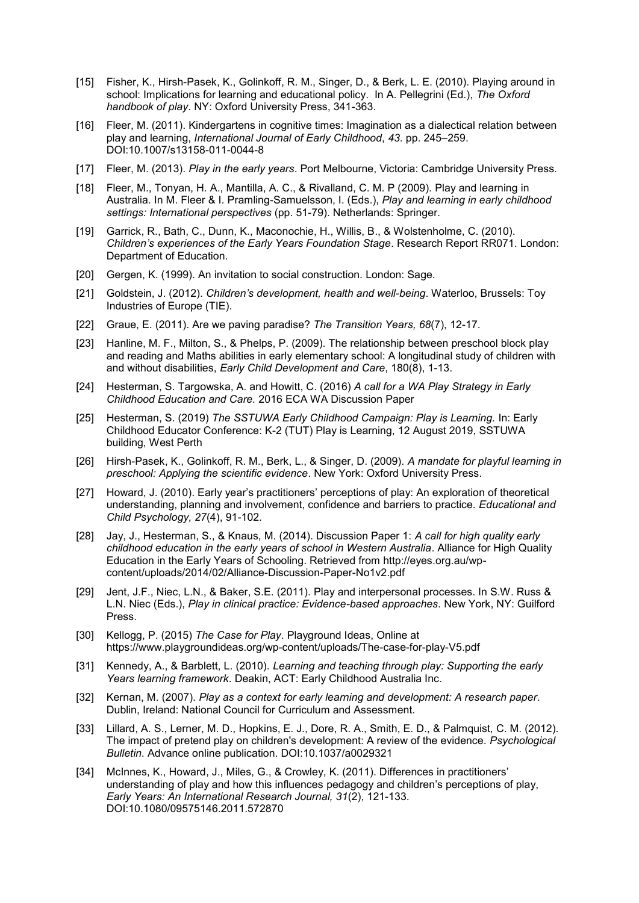- [15] Fisher, K., Hirsh-Pasek, K., Golinkoff, R. M., Singer, D., & Berk, L. E. (2010). Playing around in school: Implications for learning and educational policy. In A. Pellegrini (Ed.), *The Oxford handbook of play*. NY: Oxford University Press, 341-363.
- [16] Fleer, M. (2011). Kindergartens in cognitive times: Imagination as a dialectical relation between play and learning, *International Journal of Early Childhood*, *43*. pp. 245–259. DOI:10.1007/s13158-011-0044-8
- [17] Fleer, M. (2013). *Play in the early years*. Port Melbourne, Victoria: Cambridge University Press.
- [18] Fleer, M., Tonyan, H. A., Mantilla, A. C., & Rivalland, C. M. P (2009). Play and learning in Australia. In M. Fleer & I. Pramling-Samuelsson, I. (Eds.), *Play and learning in early childhood settings: International perspectives* (pp. 51-79). Netherlands: Springer.
- [19] Garrick, R., Bath, C., Dunn, K., Maconochie, H., Willis, B., & Wolstenholme, C. (2010). *Children's experiences of the Early Years Foundation Stage*. Research Report RR071. London: Department of Education.
- [20] Gergen, K. (1999). An invitation to social construction. London: Sage.
- [21] Goldstein, J. (2012). *Children's development, health and well-being*. Waterloo, Brussels: Toy Industries of Europe (TIE).
- [22] Graue, E. (2011). Are we paving paradise? *The Transition Years, 68*(7), 12-17.
- [23] Hanline, M. F., Milton, S., & Phelps, P. (2009). The relationship between preschool block play and reading and Maths abilities in early elementary school: A longitudinal study of children with and without disabilities, *Early Child Development and Care*, 180(8), 1-13.
- [24] [Hesterman, S.](https://researchrepository.murdoch.edu.au/view/author/Hesterman,%20Sandra.html) [Targowska, A.](https://researchrepository.murdoch.edu.au/view/author/Targowska,%20Anna.html) and Howitt, C. (2016) *[A call for a WA Play Strategy](https://researchrepository.murdoch.edu.au/id/eprint/46877/) in Early [Childhood Education and Care.](https://researchrepository.murdoch.edu.au/id/eprint/46877/)* 2016 ECA WA Discussion Paper
- [25] [Hesterman, S.](https://researchrepository.murdoch.edu.au/view/author/Hesterman,%20Sandra.html) (2019) *[The SSTUWA Early Childhood Campaign: Play is Learning.](https://researchrepository.murdoch.edu.au/id/eprint/46880/)* In: Early Childhood Educator Conference: K-2 (TUT) Play is Learning, 12 August 2019, SSTUWA building, West Perth
- [26] Hirsh-Pasek, K., Golinkoff, R. M., Berk, L., & Singer, D. (2009). *A mandate for playful learning in preschool: Applying the scientific evidence*. New York: Oxford University Press.
- [27] Howard, J. (2010). Early year's practitioners' perceptions of play: An exploration of theoretical understanding, planning and involvement, confidence and barriers to practice. *Educational and Child Psychology, 27*(4), 91-102.
- [28] Jay, J., Hesterman, S., & Knaus, M. (2014). Discussion Paper 1: *A call for high quality early childhood education in the early years of school in Western Australia*. Alliance for High Quality Education in the Early Years of Schooling. Retrieved from http://eyes.org.au/wpcontent/uploads/2014/02/Alliance-Discussion-Paper-No1v2.pdf
- [29] Jent, J.F., Niec, L.N., & Baker, S.E. (2011). Play and interpersonal processes. In S.W. Russ & L.N. Niec (Eds.), *Play in clinical practice: Evidence-based approaches*. New York, NY: Guilford Press.
- [30] Kellogg, P. (2015) *The Case for Play*. Playground Ideas, Online at <https://www.playgroundideas.org/wp-content/uploads/The-case-for-play-V5.pdf>
- [31] Kennedy, A., & Barblett, L. (2010). *Learning and teaching through play: Supporting the early Years learning framework*. Deakin, ACT: Early Childhood Australia Inc.
- [32] Kernan, M. (2007). *Play as a context for early learning and development: A research paper*. Dublin, Ireland: National Council for Curriculum and Assessment.
- [33] Lillard, A. S., Lerner, M. D., Hopkins, E. J., Dore, R. A., Smith, E. D., & Palmquist, C. M. (2012). The impact of pretend play on children's development: A review of the evidence. *Psychological Bulletin*. Advance online publication. DOI:10.1037/a0029321
- [34] McInnes, K., Howard, J., Miles, G., & Crowley, K. (2011). Differences in practitioners' understanding of play and how this influences pedagogy and children's perceptions of play, *Early Years: An International Research Journal, 31*(2), 121-133. DOI:10.1080/09575146.2011.572870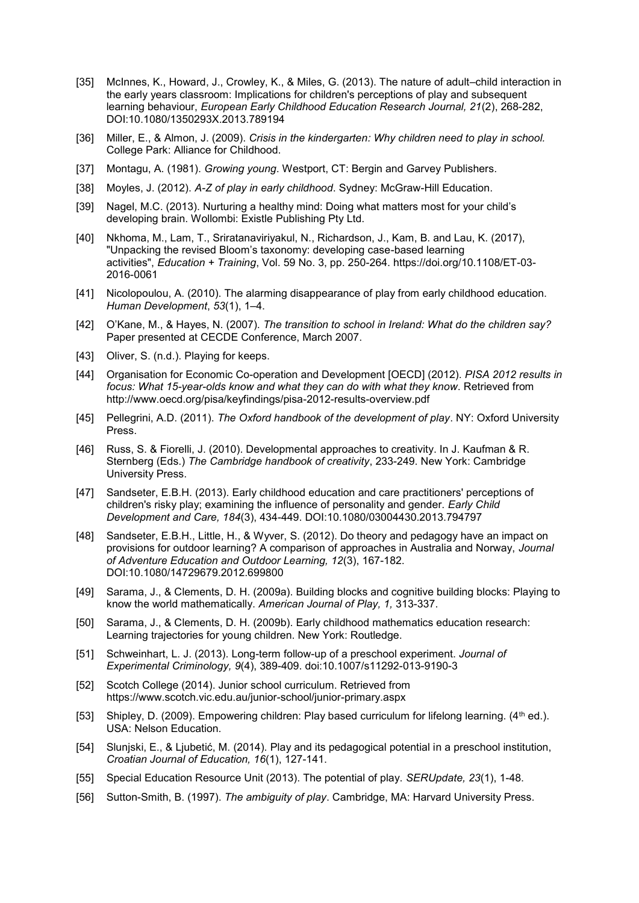- [35] McInnes, K., Howard, J., Crowley, K., & Miles, G. (2013). The nature of adult–child interaction in the early years classroom: Implications for children's perceptions of play and subsequent learning behaviour, *European Early Childhood Education Research Journal, 21*(2), 268-282, DOI:10.1080/1350293X.2013.789194
- [36] Miller, E., & Almon, J. (2009). *Crisis in the kindergarten: Why children need to play in school.* College Park: Alliance for Childhood.
- [37] Montagu, A. (1981). *Growing young*. Westport, CT: Bergin and Garvey Publishers.
- [38] Moyles, J. (2012). *A-Z of play in early childhood*. Sydney: McGraw-Hill Education.
- [39] Nagel, M.C. (2013). Nurturing a healthy mind: Doing what matters most for your child's developing brain. Wollombi: Existle Publishing Pty Ltd.
- [40] [Nkhoma, M.,](https://www.emerald.com/insight/search?q=Mathews%20Zanda%20Nkhoma) [Lam, T.,](https://www.emerald.com/insight/search?q=Tri%20Khai%20Lam) [Sriratanaviriyakul, N.,](https://www.emerald.com/insight/search?q=Narumon%20Sriratanaviriyakul) [Richardson, J.,](https://www.emerald.com/insight/search?q=Joan%20Richardson) [Kam, B.](https://www.emerald.com/insight/search?q=Booi%20Kam) and [Lau, K.](https://www.emerald.com/insight/search?q=Kwok%20Hung%20Lau) (2017), "Unpacking the revised Bloom's taxonomy: developing case-based learning activities", *[Education + Training](https://www.emerald.com/insight/publication/issn/0040-0912)*, Vol. 59 No. 3, pp. 250-264. [https://doi.org/10.1108/ET-03-](https://doi.org/10.1108/ET-03-2016-0061) [2016-0061](https://doi.org/10.1108/ET-03-2016-0061)
- [41] Nicolopoulou, A. (2010). The alarming disappearance of play from early childhood education. *Human Development*, *53*(1), 1–4.
- [42] O'Kane, M., & Hayes, N. (2007). *The transition to school in Ireland: What do the children say?* Paper presented at CECDE Conference, March 2007.
- [43] Oliver, S. (n.d.). Playing for keeps.
- [44] Organisation for Economic Co-operation and Development [OECD] (2012). *PISA 2012 results in focus: What 15-year-olds know and what they can do with what they know*. Retrieved from http://www.oecd.org/pisa/keyfindings/pisa-2012-results-overview.pdf
- [45] Pellegrini, A.D. (2011). *The Oxford handbook of the development of play*. NY: Oxford University Press.
- [46] Russ, S. & Fiorelli, J. (2010). Developmental approaches to creativity. In J. Kaufman & R. Sternberg (Eds.) *The Cambridge handbook of creativity*, 233-249. New York: Cambridge University Press.
- [47] Sandseter, E.B.H. (2013). Early childhood education and care practitioners' perceptions of children's risky play; examining the influence of personality and gender. *Early Child Development and Care, 184*(3), 434-449. DOI:10.1080/03004430.2013.794797
- [48] Sandseter, E.B.H., Little, H., & Wyver, S. (2012). Do theory and pedagogy have an impact on provisions for outdoor learning? A comparison of approaches in Australia and Norway, *Journal of Adventure Education and Outdoor Learning, 12*(3), 167-182. DOI:10.1080/14729679.2012.699800
- [49] Sarama, J., & Clements, D. H. (2009a). Building blocks and cognitive building blocks: Playing to know the world mathematically. *American Journal of Play, 1,* 313-337.
- [50] Sarama, J., & Clements, D. H. (2009b). Early childhood mathematics education research: Learning trajectories for young children. New York: Routledge.
- [51] Schweinhart, L. J. (2013). Long-term follow-up of a preschool experiment. *Journal of Experimental Criminology, 9*(4), 389-409. doi:10.1007/s11292-013-9190-3
- [52] Scotch College (2014). Junior school curriculum. Retrieved from https://www.scotch.vic.edu.au/junior-school/junior-primary.aspx
- [53] Shipley, D. (2009). Empowering children: Play based curriculum for lifelong learning. (4<sup>th</sup> ed.). USA: Nelson Education.
- [54] Slunjski, E., & Ljubetić, M. (2014). Play and its pedagogical potential in a preschool institution, *Croatian Journal of Education, 16*(1), 127-141.
- [55] Special Education Resource Unit (2013). The potential of play. *SERUpdate, 23*(1), 1-48.
- [56] Sutton-Smith, B. (1997). *The ambiguity of play*. Cambridge, MA: Harvard University Press.